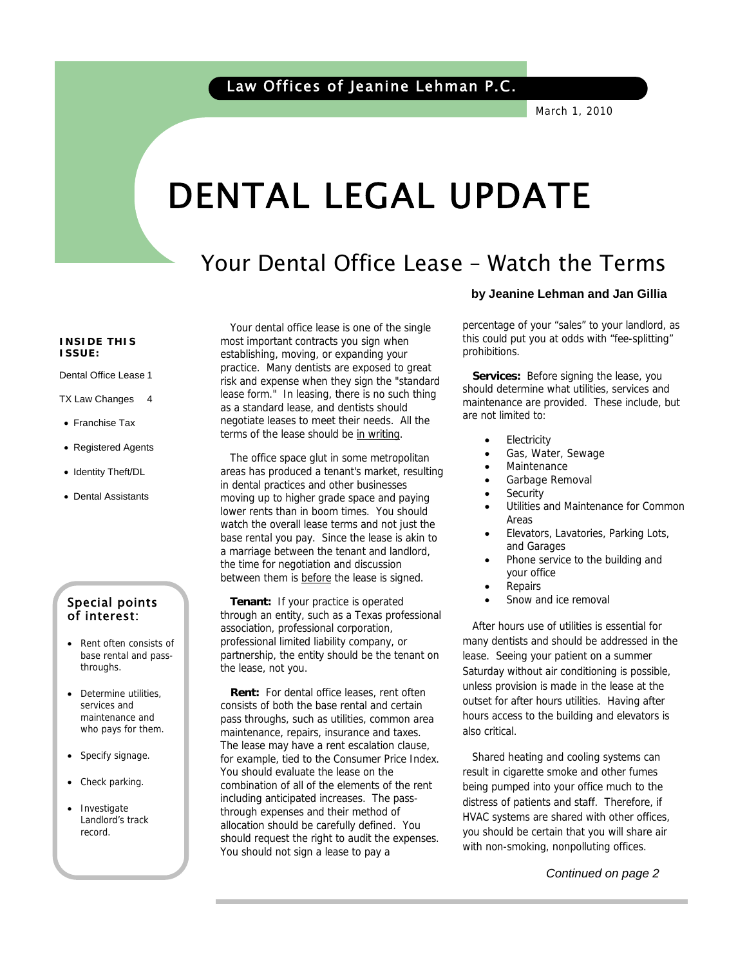March 1, 2010

# DENTAL LEGAL UPDATE

# Your Dental Office Lease – Watch the Terms

#### **INSIDE THIS ISSUE:**

í

Dental Office Lease 1

- TX Law Changes 4
- Franchise Tax
- Registered Agents
- Identity Theft/DL
- Dental Assistants

### Special points of interest:

- Rent often consists of base rental and passthroughs.
- Determine utilities, services and maintenance and who pays for them.
- Specify signage.
- Check parking.
- **Investigate** Landlord's track record.

 Your dental office lease is one of the single most important contracts you sign when establishing, moving, or expanding your practice. Many dentists are exposed to great risk and expense when they sign the "standard lease form." In leasing, there is no such thing as a standard lease, and dentists should negotiate leases to meet their needs. All the terms of the lease should be in writing.

 The office space glut in some metropolitan areas has produced a tenant's market, resulting in dental practices and other businesses moving up to higher grade space and paying lower rents than in boom times. You should watch the overall lease terms and not just the base rental you pay. Since the lease is akin to a marriage between the tenant and landlord, the time for negotiation and discussion between them is before the lease is signed.

 **Tenant:** If your practice is operated through an entity, such as a Texas professional association, professional corporation, professional limited liability company, or partnership, the entity should be the tenant on the lease, not you.

 **Rent:** For dental office leases, rent often consists of both the base rental and certain pass throughs, such as utilities, common area maintenance, repairs, insurance and taxes. The lease may have a rent escalation clause, for example, tied to the Consumer Price Index. You should evaluate the lease on the combination of all of the elements of the rent including anticipated increases. The passthrough expenses and their method of allocation should be carefully defined. You should request the right to audit the expenses. You should not sign a lease to pay a

#### **by Jeanine Lehman and Jan Gillia**

percentage of your "sales" to your landlord, as this could put you at odds with "fee-splitting" prohibitions.

 **Services:** Before signing the lease, you should determine what utilities, services and maintenance are provided. These include, but are not limited to:

- **Electricity**
- Gas, Water, Sewage
- **Maintenance**
- Garbage Removal
- **Security**
- Utilities and Maintenance for Common Areas
- Elevators, Lavatories, Parking Lots, and Garages
- Phone service to the building and your office
- **Repairs**
- Snow and ice removal

 After hours use of utilities is essential for many dentists and should be addressed in the lease. Seeing your patient on a summer Saturday without air conditioning is possible, unless provision is made in the lease at the outset for after hours utilities. Having after hours access to the building and elevators is also critical.

 Shared heating and cooling systems can result in cigarette smoke and other fumes being pumped into your office much to the distress of patients and staff. Therefore, if HVAC systems are shared with other offices, you should be certain that you will share air with non-smoking, nonpolluting offices.

 *Continued on page 2*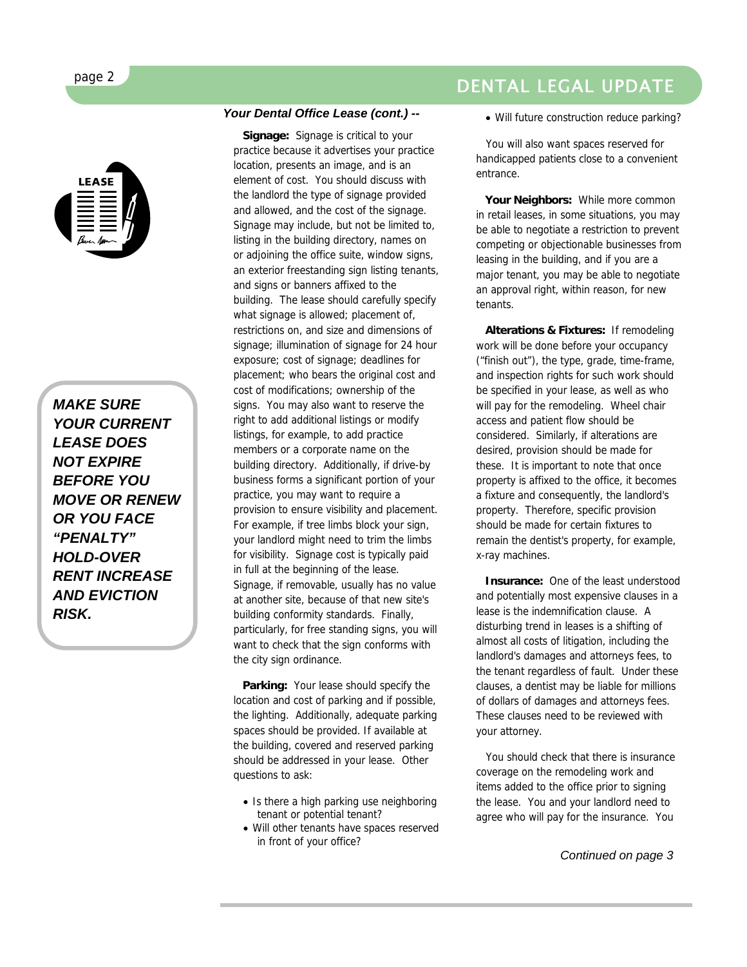*MAKE SURE YOUR CURRENT LEASE DOES NOT EXPIRE BEFORE YOU MOVE OR RENEW OR YOU FACE "PENALTY" HOLD-OVER RENT INCREASE AND EVICTION RISK.* 

#### *Your Dental Office Lease (cont.) --*

 **Signage:** Signage is critical to your practice because it advertises your practice location, presents an image, and is an element of cost. You should discuss with the landlord the type of signage provided and allowed, and the cost of the signage. Signage may include, but not be limited to, listing in the building directory, names on or adjoining the office suite, window signs, an exterior freestanding sign listing tenants, and signs or banners affixed to the building. The lease should carefully specify what signage is allowed; placement of, restrictions on, and size and dimensions of signage; illumination of signage for 24 hour exposure; cost of signage; deadlines for placement; who bears the original cost and cost of modifications; ownership of the signs. You may also want to reserve the right to add additional listings or modify listings, for example, to add practice members or a corporate name on the building directory. Additionally, if drive-by business forms a significant portion of your practice, you may want to require a provision to ensure visibility and placement. For example, if tree limbs block your sign, your landlord might need to trim the limbs for visibility. Signage cost is typically paid in full at the beginning of the lease. Signage, if removable, usually has no value at another site, because of that new site's building conformity standards. Finally, particularly, for free standing signs, you will want to check that the sign conforms with the city sign ordinance.

 **Parking:** Your lease should specify the location and cost of parking and if possible, the lighting. Additionally, adequate parking spaces should be provided. If available at the building, covered and reserved parking should be addressed in your lease. Other questions to ask:

- Is there a high parking use neighboring tenant or potential tenant?
- Will other tenants have spaces reserved in front of your office?

# DENTAL LEGAL UPDATE

• Will future construction reduce parking?

 You will also want spaces reserved for handicapped patients close to a convenient entrance.

 **Your Neighbors:** While more common in retail leases, in some situations, you may be able to negotiate a restriction to prevent competing or objectionable businesses from leasing in the building, and if you are a major tenant, you may be able to negotiate an approval right, within reason, for new tenants.

 **Alterations & Fixtures:** If remodeling work will be done before your occupancy ("finish out"), the type, grade, time-frame, and inspection rights for such work should be specified in your lease, as well as who will pay for the remodeling. Wheel chair access and patient flow should be considered. Similarly, if alterations are desired, provision should be made for these. It is important to note that once property is affixed to the office, it becomes a fixture and consequently, the landlord's property. Therefore, specific provision should be made for certain fixtures to remain the dentist's property, for example, x-ray machines.

 **Insurance:** One of the least understood and potentially most expensive clauses in a lease is the indemnification clause. A disturbing trend in leases is a shifting of almost all costs of litigation, including the landlord's damages and attorneys fees, to the tenant regardless of fault. Under these clauses, a dentist may be liable for millions of dollars of damages and attorneys fees. These clauses need to be reviewed with your attorney.

 You should check that there is insurance coverage on the remodeling work and items added to the office prior to signing the lease. You and your landlord need to agree who will pay for the insurance. You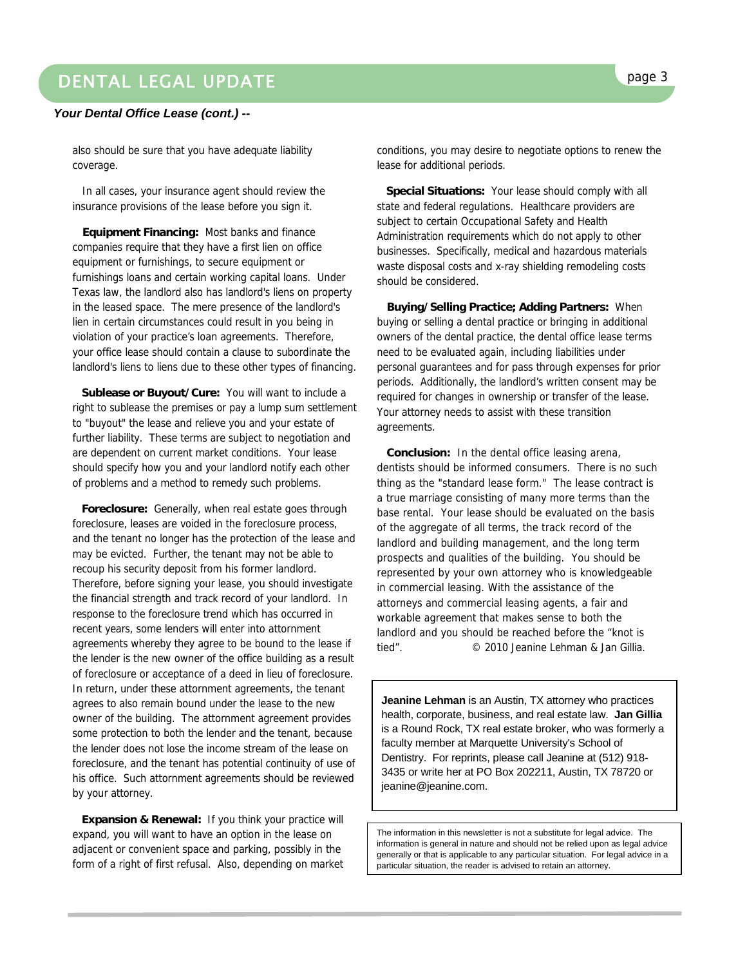# DENTAL LEGAL UPDATE **page 3**

#### *Your Dental Office Lease (cont.) --*

also should be sure that you have adequate liability coverage.

 In all cases, your insurance agent should review the insurance provisions of the lease before you sign it.

 **Equipment Financing:** Most banks and finance companies require that they have a first lien on office equipment or furnishings, to secure equipment or furnishings loans and certain working capital loans. Under Texas law, the landlord also has landlord's liens on property in the leased space. The mere presence of the landlord's lien in certain circumstances could result in you being in violation of your practice's loan agreements. Therefore, your office lease should contain a clause to subordinate the landlord's liens to liens due to these other types of financing.

 **Sublease or Buyout/Cure:** You will want to include a right to sublease the premises or pay a lump sum settlement to "buyout" the lease and relieve you and your estate of further liability. These terms are subject to negotiation and are dependent on current market conditions. Your lease should specify how you and your landlord notify each other of problems and a method to remedy such problems.

 **Foreclosure:** Generally, when real estate goes through foreclosure, leases are voided in the foreclosure process, and the tenant no longer has the protection of the lease and may be evicted. Further, the tenant may not be able to recoup his security deposit from his former landlord. Therefore, before signing your lease, you should investigate the financial strength and track record of your landlord. In response to the foreclosure trend which has occurred in recent years, some lenders will enter into attornment agreements whereby they agree to be bound to the lease if the lender is the new owner of the office building as a result of foreclosure or acceptance of a deed in lieu of foreclosure. In return, under these attornment agreements, the tenant agrees to also remain bound under the lease to the new owner of the building. The attornment agreement provides some protection to both the lender and the tenant, because the lender does not lose the income stream of the lease on foreclosure, and the tenant has potential continuity of use of his office. Such attornment agreements should be reviewed by your attorney.

**Expansion & Renewal: If you think your practice will** expand, you will want to have an option in the lease on adjacent or convenient space and parking, possibly in the form of a right of first refusal. Also, depending on market

 **Special Situations:** Your lease should comply with all state and federal regulations. Healthcare providers are subject to certain Occupational Safety and Health Administration requirements which do not apply to other businesses. Specifically, medical and hazardous materials waste disposal costs and x-ray shielding remodeling costs should be considered.

 **Buying/Selling Practice; Adding Partners:** When buying or selling a dental practice or bringing in additional owners of the dental practice, the dental office lease terms need to be evaluated again, including liabilities under personal guarantees and for pass through expenses for prior periods. Additionally, the landlord's written consent may be required for changes in ownership or transfer of the lease. Your attorney needs to assist with these transition agreements.

 **Conclusion:** In the dental office leasing arena, dentists should be informed consumers. There is no such thing as the "standard lease form." The lease contract is a true marriage consisting of many more terms than the base rental. Your lease should be evaluated on the basis of the aggregate of all terms, the track record of the landlord and building management, and the long term prospects and qualities of the building. You should be represented by your own attorney who is knowledgeable in commercial leasing. With the assistance of the attorneys and commercial leasing agents, a fair and workable agreement that makes sense to both the landlord and you should be reached before the "knot is tied". © 2010 Jeanine Lehman & Jan Gillia.

**Jeanine Lehman** is an Austin, TX attorney who practices health, corporate, business, and real estate law. **Jan Gillia** is a Round Rock, TX real estate broker, who was formerly a faculty member at Marquette University's School of Dentistry. For reprints, please call Jeanine at (512) 918- 3435 or write her at PO Box 202211, Austin, TX 78720 or jeanine@jeanine.com.

The information in this newsletter is not a substitute for legal advice. The information is general in nature and should not be relied upon as legal advice generally or that is applicable to any particular situation. For legal advice in a particular situation, the reader is advised to retain an attorney.